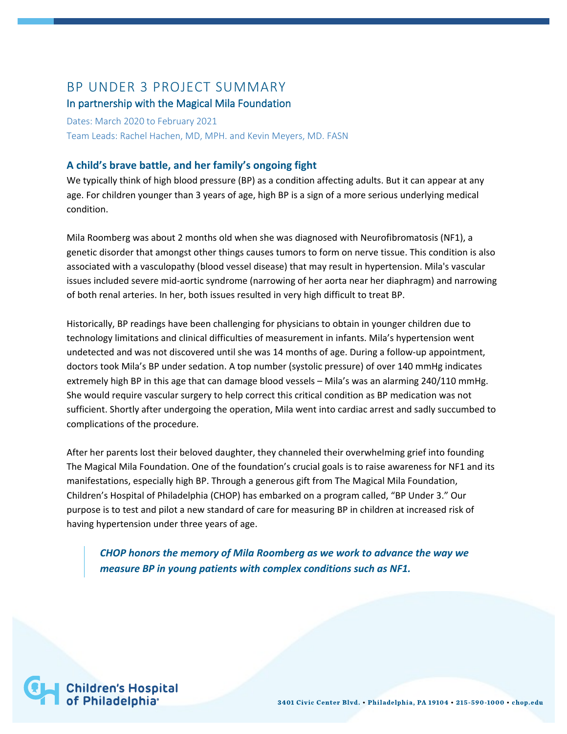# BP UNDER 3 PROJECT SUMMARY

# In partnership with the Magical Mila Foundation

Dates: March 2020 to February 2021 Team Leads: Rachel Hachen, MD, MPH. and Kevin Meyers, MD. FASN

# **A child's brave battle, and her family's ongoing fight**

We typically think of high blood pressure (BP) as a condition affecting adults. But it can appear at any age. For children younger than 3 years of age, high BP is a sign of a more serious underlying medical condition.

Mila Roomberg was about 2 months old when she was diagnosed with Neurofibromatosis (NF1), a genetic disorder that amongst other things causes tumors to form on nerve tissue. This condition is also associated with a vasculopathy (blood vessel disease) that may result in hypertension. Mila's vascular issues included severe mid-aortic syndrome (narrowing of her aorta near her diaphragm) and narrowing of both renal arteries. In her, both issues resulted in very high difficult to treat BP.

Historically, BP readings have been challenging for physicians to obtain in younger children due to technology limitations and clinical difficulties of measurement in infants. Mila's hypertension went undetected and was not discovered until she was 14 months of age. During a follow-up appointment, doctors took Mila's BP under sedation. A top number (systolic pressure) of over 140 mmHg indicates extremely high BP in this age that can damage blood vessels – Mila's was an alarming 240/110 mmHg. She would require vascular surgery to help correct this critical condition as BP medication was not sufficient. Shortly after undergoing the operation, Mila went into cardiac arrest and sadly succumbed to complications of the procedure.

After her parents lost their beloved daughter, they channeled their overwhelming grief into founding The Magical Mila Foundation. One of the foundation's crucial goals is to raise awareness for NF1 and its manifestations, especially high BP. Through a generous gift from The Magical Mila Foundation, Children's Hospital of Philadelphia (CHOP) has embarked on a program called, "BP Under 3." Our purpose is to test and pilot a new standard of care for measuring BP in children at increased risk of having hypertension under three years of age.

*CHOP honors the memory of Mila Roomberg as we work to advance the way we measure BP in young patients with complex conditions such as NF1.*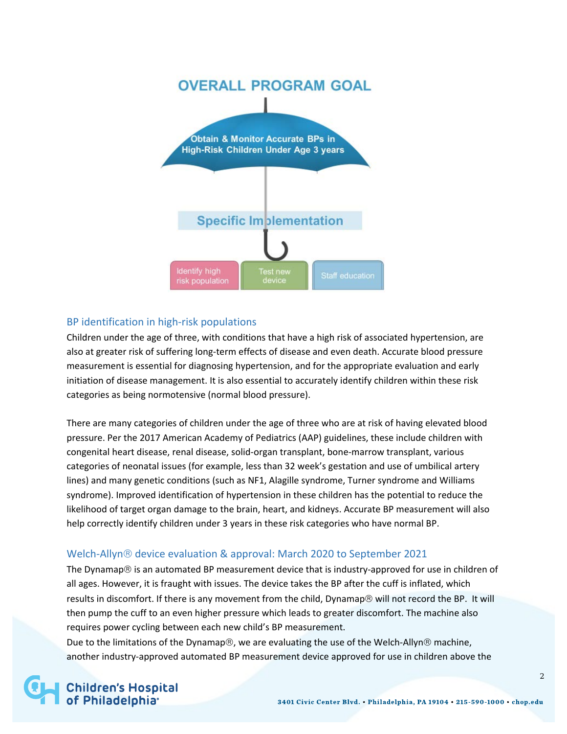

# BP identification in high-risk populations

Children under the age of three, with conditions that have a high risk of associated hypertension, are also at greater risk of suffering long-term effects of disease and even death. Accurate blood pressure measurement is essential for diagnosing hypertension, and for the appropriate evaluation and early initiation of disease management. It is also essential to accurately identify children within these risk categories as being normotensive (normal blood pressure).

There are many categories of children under the age of three who are at risk of having elevated blood pressure. Per the 2017 American Academy of Pediatrics (AAP) guidelines, these include children with congenital heart disease, renal disease, solid-organ transplant, bone-marrow transplant, various categories of neonatal issues (for example, less than 32 week's gestation and use of umbilical artery lines) and many genetic conditions (such as NF1, Alagille syndrome, Turner syndrome and Williams syndrome). Improved identification of hypertension in these children has the potential to reduce the likelihood of target organ damage to the brain, heart, and kidneys. Accurate BP measurement will also help correctly identify children under 3 years in these risk categories who have normal BP.

### Welch-Allyn<sup>®</sup> device evaluation & approval: March 2020 to September 2021

The Dynamap $\circledR$  is an automated BP measurement device that is industry-approved for use in children of all ages. However, it is fraught with issues. The device takes the BP after the cuff is inflated, which results in discomfort. If there is any movement from the child, Dynamap® will not record the BP. It will then pump the cuff to an even higher pressure which leads to greater discomfort. The machine also requires power cycling between each new child's BP measurement.

Due to the limitations of the Dynamap $\circledast$ , we are evaluating the use of the Welch-Allyn $\circledast$  machine, another industry-approved automated BP measurement device approved for use in children above the

# **Children's Hospital<br>of Philadelphia**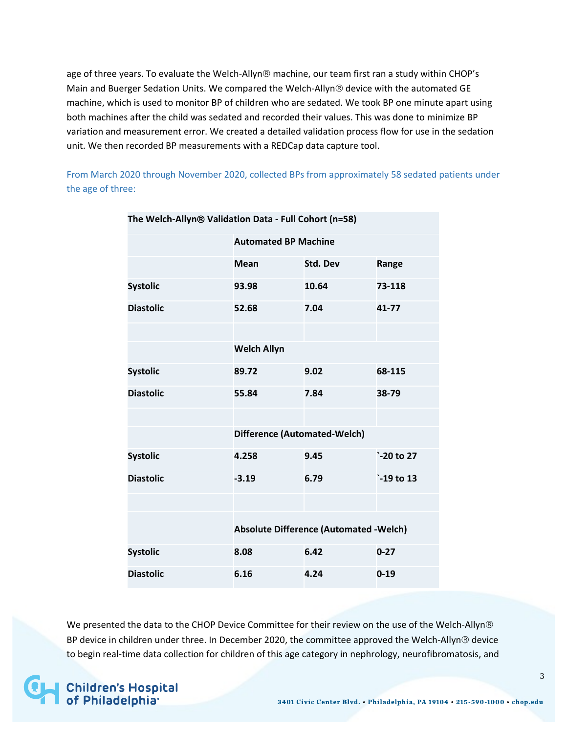age of three years. To evaluate the Welch-Allyn® machine, our team first ran a study within CHOP's Main and Buerger Sedation Units. We compared the Welch-Allyn® device with the automated GE machine, which is used to monitor BP of children who are sedated. We took BP one minute apart using both machines after the child was sedated and recorded their values. This was done to minimize BP variation and measurement error. We created a detailed validation process flow for use in the sedation unit. We then recorded BP measurements with a REDCap data capture tool.

From March 2020 through November 2020, collected BPs from approximately 58 sedated patients under the age of three:

| The Welch-Allyn® Validation Data - Full Cohort (n=58) |                                               |          |            |  |  |
|-------------------------------------------------------|-----------------------------------------------|----------|------------|--|--|
|                                                       | <b>Automated BP Machine</b>                   |          |            |  |  |
|                                                       | <b>Mean</b>                                   | Std. Dev | Range      |  |  |
| <b>Systolic</b>                                       | 93.98                                         | 10.64    | 73-118     |  |  |
| <b>Diastolic</b>                                      | 52.68                                         | 7.04     | 41-77      |  |  |
|                                                       |                                               |          |            |  |  |
|                                                       | <b>Welch Allyn</b>                            |          |            |  |  |
| <b>Systolic</b>                                       | 89.72                                         | 9.02     | 68-115     |  |  |
| <b>Diastolic</b>                                      | 55.84                                         | 7.84     | 38-79      |  |  |
|                                                       |                                               |          |            |  |  |
|                                                       | <b>Difference (Automated-Welch)</b>           |          |            |  |  |
| <b>Systolic</b>                                       | 4.258                                         | 9.45     | `-20 to 27 |  |  |
| <b>Diastolic</b>                                      | $-3.19$                                       | 6.79     | `-19 to 13 |  |  |
|                                                       |                                               |          |            |  |  |
|                                                       | <b>Absolute Difference (Automated -Welch)</b> |          |            |  |  |
| <b>Systolic</b>                                       | 8.08                                          | 6.42     | $0 - 27$   |  |  |
| <b>Diastolic</b>                                      | 6.16                                          | 4.24     | $0 - 19$   |  |  |

We presented the data to the CHOP Device Committee for their review on the use of the Welch-Allyn® BP device in children under three. In December 2020, the committee approved the Welch-Allyn® device to begin real-time data collection for children of this age category in nephrology, neurofibromatosis, and

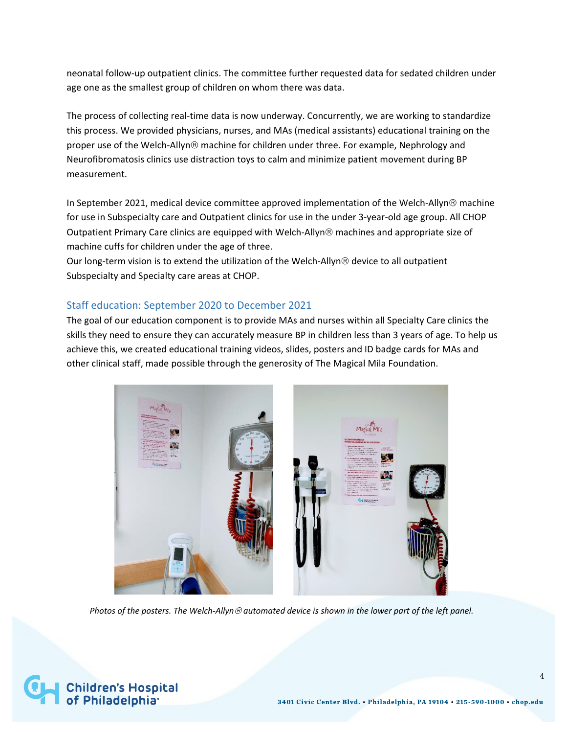neonatal follow-up outpatient clinics. The committee further requested data for sedated children under age one as the smallest group of children on whom there was data.

The process of collecting real-time data is now underway. Concurrently, we are working to standardize this process. We provided physicians, nurses, and MAs (medical assistants) educational training on the proper use of the Welch-Allyn® machine for children under three. For example, Nephrology and Neurofibromatosis clinics use distraction toys to calm and minimize patient movement during BP measurement.

In September 2021, medical device committee approved implementation of the Welch-Allyn® machine for use in Subspecialty care and Outpatient clinics for use in the under 3-year-old age group. All CHOP Outpatient Primary Care clinics are equipped with Welch-Allyn machines and appropriate size of machine cuffs for children under the age of three.

Our long-term vision is to extend the utilization of the Welch-Allyn<sup>®</sup> device to all outpatient Subspecialty and Specialty care areas at CHOP.

### Staff education: September 2020 to December 2021

The goal of our education component is to provide MAs and nurses within all Specialty Care clinics the skills they need to ensure they can accurately measure BP in children less than 3 years of age. To help us achieve this, we created educational training videos, slides, posters and ID badge cards for MAs and other clinical staff, made possible through the generosity of The Magical Mila Foundation.



 *Photos of the posters. The Welch-Allyn automated device is shown in the lower part of the left panel.*

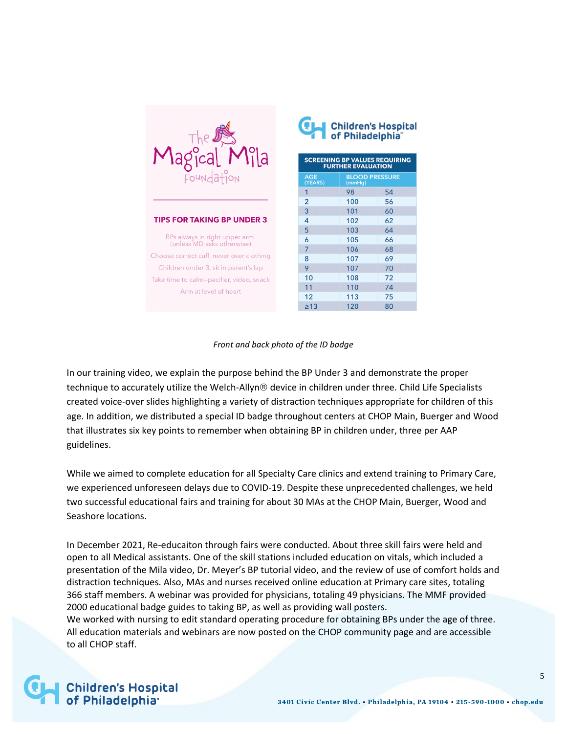| The<br>agical<br>$\gamma$ ila<br>L<br>Foundation            |
|-------------------------------------------------------------|
| <b>TIPS FOR TAKING BP UNDER 3</b>                           |
| BPs always in right upper arm<br>(unless MD asks otherwise) |
| Choose correct cuff, never over clothing                    |
| Children under 3, sit in parent's lap                       |
| Take time to calm-pacifier, video, snack                    |
| Arm at level of heart                                       |

| Children's Hospital<br>  of Philadelphia <sup>"</sup><br><b>SCREENING BP VALUES REQUIRING</b><br><b>FURTHER EVALUATION</b> |                                 |    |  |  |  |
|----------------------------------------------------------------------------------------------------------------------------|---------------------------------|----|--|--|--|
| AGE<br>(YEARS)                                                                                                             | <b>BLOOD PRESSURE</b><br>(mmHg) |    |  |  |  |
| 1                                                                                                                          | 98                              | 54 |  |  |  |
| $\overline{2}$                                                                                                             | 100                             | 56 |  |  |  |
| 3                                                                                                                          | 101                             | 60 |  |  |  |
| 4                                                                                                                          | 102                             | 62 |  |  |  |
| 5                                                                                                                          | 103                             | 64 |  |  |  |
| 6                                                                                                                          | 105                             | 66 |  |  |  |
| $\overline{7}$                                                                                                             | 106                             | 68 |  |  |  |
| 8                                                                                                                          | 107                             | 69 |  |  |  |
| 9                                                                                                                          | 107                             | 70 |  |  |  |
| 10                                                                                                                         | 108                             | 72 |  |  |  |
| 11                                                                                                                         | 110                             | 74 |  |  |  |
| 12                                                                                                                         | 113                             | 75 |  |  |  |
| $\geq 13$                                                                                                                  | 120                             | 80 |  |  |  |

#### *Front and back photo of the ID badge*

In our training video, we explain the purpose behind the BP Under 3 and demonstrate the proper technique to accurately utilize the Welch-Allyn® device in children under three. Child Life Specialists created voice-over slides highlighting a variety of distraction techniques appropriate for children of this age. In addition, we distributed a special ID badge throughout centers at CHOP Main, Buerger and Wood that illustrates six key points to remember when obtaining BP in children under, three per AAP guidelines.

While we aimed to complete education for all Specialty Care clinics and extend training to Primary Care, we experienced unforeseen delays due to COVID-19. Despite these unprecedented challenges, we held two successful educational fairs and training for about 30 MAs at the CHOP Main, Buerger, Wood and Seashore locations.

In December 2021, Re-educaiton through fairs were conducted. About three skill fairs were held and open to all Medical assistants. One of the skill stations included education on vitals, which included a presentation of the Mila video, Dr. Meyer's BP tutorial video, and the review of use of comfort holds and distraction techniques. Also, MAs and nurses received online education at Primary care sites, totaling 366 staff members. A webinar was provided for physicians, totaling 49 physicians. The MMF provided 2000 educational badge guides to taking BP, as well as providing wall posters.

We worked with nursing to edit standard operating procedure for obtaining BPs under the age of three. All education materials and webinars are now posted on the CHOP community page and are accessible to all CHOP staff.

**Children's Hospital<br>of Philadelphia**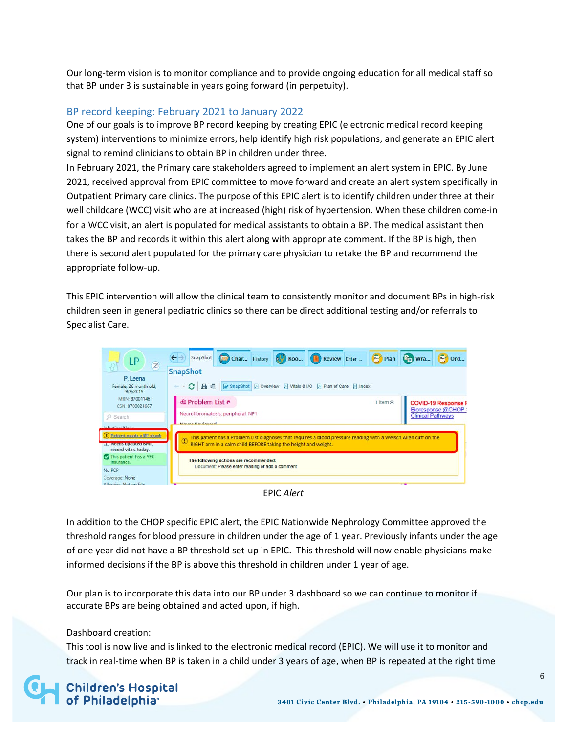Our long-term vision is to monitor compliance and to provide ongoing education for all medical staff so that BP under 3 is sustainable in years going forward (in perpetuity).

#### BP record keeping: February 2021 to January 2022

One of our goals is to improve BP record keeping by creating EPIC (electronic medical record keeping system) interventions to minimize errors, help identify high risk populations, and generate an EPIC alert signal to remind clinicians to obtain BP in children under three.

In February 2021, the Primary care stakeholders agreed to implement an alert system in EPIC. By June 2021, received approval from EPIC committee to move forward and create an alert system specifically in Outpatient Primary care clinics. The purpose of this EPIC alert is to identify children under three at their well childcare (WCC) visit who are at increased (high) risk of hypertension. When these children come-in for a WCC visit, an alert is populated for medical assistants to obtain a BP. The medical assistant then takes the BP and records it within this alert along with appropriate comment. If the BP is high, then there is second alert populated for the primary care physician to retake the BP and recommend the appropriate follow-up.

This EPIC intervention will allow the clinical team to consistently monitor and document BPs in high-risk children seen in general pediatric clinics so there can be direct additional testing and/or referrals to Specialist Care.

| LP<br>$\circ$                                           | Char History (C) Roo <b>(E)</b> Review Enter <b>Co</b> Plan <b>C</b> , Wra<br>SnapShot                                                                                                                            |  |                          | <b>Def</b> Ord             |  |  |
|---------------------------------------------------------|-------------------------------------------------------------------------------------------------------------------------------------------------------------------------------------------------------------------|--|--------------------------|----------------------------|--|--|
| P, Leena                                                | SnapShot                                                                                                                                                                                                          |  |                          |                            |  |  |
| Female, 26 month old,<br>9/9/2019                       | ○ A H H R SnapShot 日 Overview 日 Vitals & I/O 日 Plan of Care 日 Index<br>deal.                                                                                                                                      |  |                          |                            |  |  |
| MRN: 87001146<br>CSN: 8700021667                        | <b><i><del></del></i></b> Problem List ₹                                                                                                                                                                          |  |                          | <b>COVID-19 Response F</b> |  |  |
| O Search                                                | Neurofibromatosis, peripheral, NF1<br>Morroy Douganned                                                                                                                                                            |  | <b>Clinical Pathways</b> | Bioresponse @CHOP          |  |  |
| and a series of the<br>D Patient needs a BP check       |                                                                                                                                                                                                                   |  |                          |                            |  |  |
| <b>UP Needs upleated binit,</b><br>record vitals today. | This patient has a Problem List diagnoses that requires a blood pressure reading with a Welsch Allen cuff on the<br>$^\mathrm{\textregistered}$<br>RIGHT arm in a calm child BEFORE taking the height and weight. |  |                          |                            |  |  |
| This patient has a VFC<br>insurance.                    | The following actions are recommended:                                                                                                                                                                            |  |                          |                            |  |  |
| No PCP                                                  | Document: Please enter reading or add a comment                                                                                                                                                                   |  |                          |                            |  |  |
| Coverage: None<br>Allamian Mat an Eila                  |                                                                                                                                                                                                                   |  | $\mathbf{r}$             |                            |  |  |

EPIC *Alert*

In addition to the CHOP specific EPIC alert, the EPIC Nationwide Nephrology Committee approved the threshold ranges for blood pressure in children under the age of 1 year. Previously infants under the age of one year did not have a BP threshold set-up in EPIC. This threshold will now enable physicians make informed decisions if the BP is above this threshold in children under 1 year of age.

Our plan is to incorporate this data into our BP under 3 dashboard so we can continue to monitor if accurate BPs are being obtained and acted upon, if high.

#### Dashboard creation:

This tool is now live and is linked to the electronic medical record (EPIC). We will use it to monitor and track in real-time when BP is taken in a child under 3 years of age, when BP is repeated at the right time

# **Children's Hospital<br>of Philadelphia**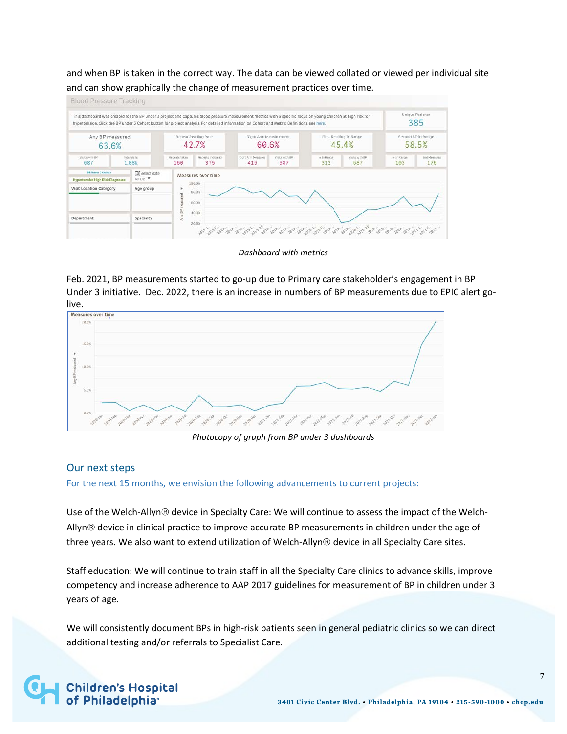and when BP is taken in the correct way. The data can be viewed collated or viewed per individual site and can show graphically the change of measurement practices over time.



#### *Dashboard with metrics*

Feb. 2021, BP measurements started to go-up due to Primary care stakeholder's engagement in BP Under 3 initiative. Dec. 2022, there is an increase in numbers of BP measurements due to EPIC alert golive.<br>Measures over time



*Photocopy of graph from BP under 3 dashboards*

#### Our next steps

For the next 15 months, we envision the following advancements to current projects:

Use of the Welch-Allyn® device in Specialty Care: We will continue to assess the impact of the Welch-Allyn® device in clinical practice to improve accurate BP measurements in children under the age of three years. We also want to extend utilization of Welch-Allyn® device in all Specialty Care sites.

Staff education: We will continue to train staff in all the Specialty Care clinics to advance skills, improve competency and increase adherence to AAP 2017 guidelines for measurement of BP in children under 3 years of age.

We will consistently document BPs in high-risk patients seen in general pediatric clinics so we can direct additional testing and/or referrals to Specialist Care.